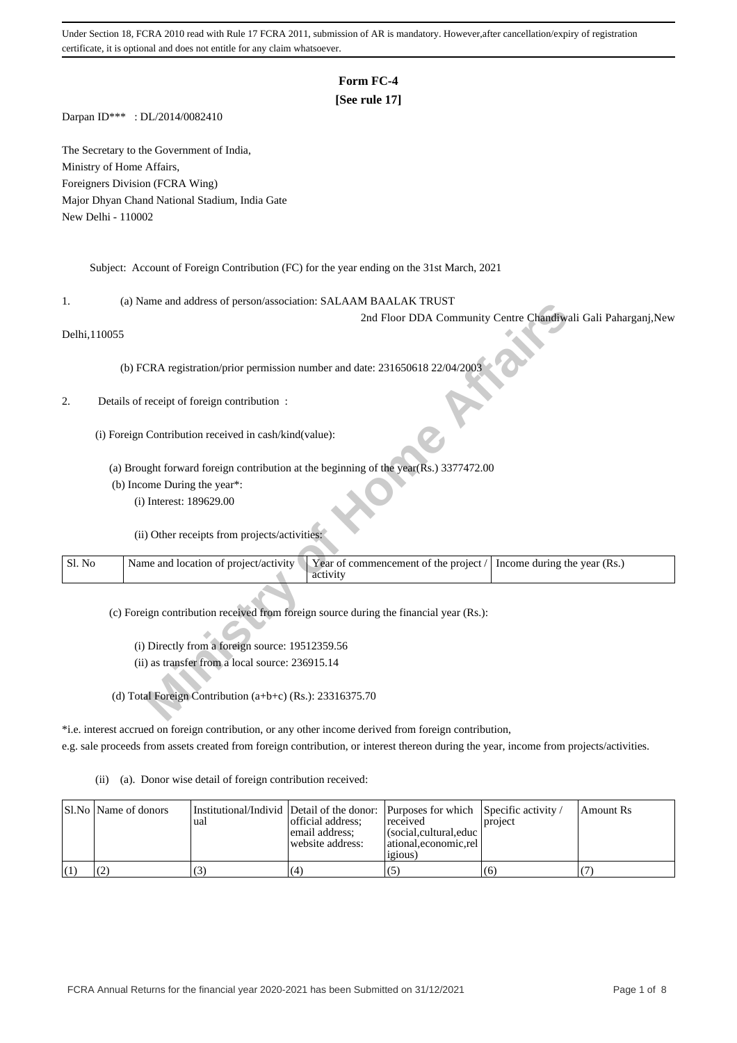# **Form FC-4**

# **[See rule 17]**

Darpan ID\*\*\* : DL/2014/0082410

The Secretary to the Government of India, Ministry of Home Affairs, Foreigners Division (FCRA Wing) Major Dhyan Chand National Stadium, India Gate New Delhi - 110002

Subject: Account of Foreign Contribution (FC) for the year ending on the 31st March, 2021

1. (a) Name and address of person/association: SALAAM BAALAK TRUST

#### Delhi,110055

## 2. Details of receipt of foreign contribution :

| 1.     | (a) Ivalue and address of person/association. SALAANI DAALAR TROST                                                         |  |
|--------|----------------------------------------------------------------------------------------------------------------------------|--|
|        | 2nd Floor DDA Community Centre Chandiwali Gali Paharganj, New                                                              |  |
|        | Delhi, 110055                                                                                                              |  |
|        | (b) FCRA registration/prior permission number and date: 231650618 22/04/2003                                               |  |
|        |                                                                                                                            |  |
| 2.     | Details of receipt of foreign contribution:                                                                                |  |
|        | (i) Foreign Contribution received in cash/kind(value):                                                                     |  |
|        | (a) Brought forward foreign contribution at the beginning of the year(Rs.) 3377472.00                                      |  |
|        | (b) Income During the year*:                                                                                               |  |
|        | (i) Interest: 189629.00                                                                                                    |  |
|        | (ii) Other receipts from projects/activities:                                                                              |  |
| Sl. No | Name and location of project/activity<br>Year of commencement of the project /<br>Income during the year (Rs.)<br>activity |  |
|        | (c) Foreign contribution received from foreign source during the financial year (Rs.):                                     |  |
|        |                                                                                                                            |  |
|        | (i) Directly from a foreign source: 19512359.56                                                                            |  |
|        | (ii) as transfer from a local source: 236915.14                                                                            |  |
|        |                                                                                                                            |  |
|        | (d) Total Foreign Contribution $(a+b+c)$ (Rs.): 23316375.70                                                                |  |

\*i.e. interest accrued on foreign contribution, or any other income derived from foreign contribution, e.g. sale proceeds from assets created from foreign contribution, or interest thereon during the year, income from projects/activities.

(ii) (a). Donor wise detail of foreign contribution received:

| Sl.No   Name of donors | ual | official address;<br>email address:<br>website address: | Institutional/Individ Detail of the donor: Purposes for which Specific activity /<br>received<br>l (social.cultural.educ<br>  ational.economic.rel<br>1210US | project | LAmount Rs |
|------------------------|-----|---------------------------------------------------------|--------------------------------------------------------------------------------------------------------------------------------------------------------------|---------|------------|
|                        |     | (4)                                                     | (5                                                                                                                                                           | (6)     |            |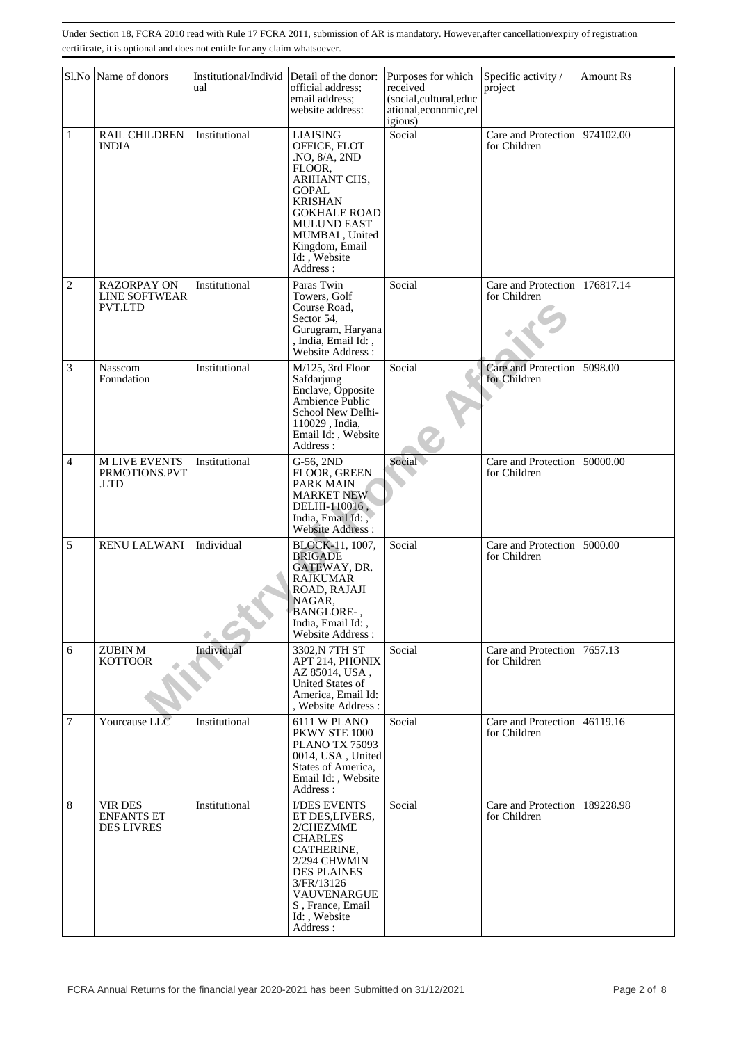|                | Sl.No Name of donors                                     | Institutional/Individ Detail of the donor:<br>ual | official address;<br>email address;<br>website address:                                                                                                                                                                    | Purposes for which<br>received<br>(social,cultural,educ<br>ational, economic, rel<br>igious) | Specific activity /<br>project                  | <b>Amount Rs</b> |
|----------------|----------------------------------------------------------|---------------------------------------------------|----------------------------------------------------------------------------------------------------------------------------------------------------------------------------------------------------------------------------|----------------------------------------------------------------------------------------------|-------------------------------------------------|------------------|
| $\mathbf{1}$   | <b>RAIL CHILDREN</b><br><b>INDIA</b>                     | Institutional                                     | <b>LIAISING</b><br>OFFICE, FLOT<br>.NO, 8/A, 2ND<br>FLOOR,<br>ARIHANT CHS,<br><b>GOPAL</b><br><b>KRISHAN</b><br><b>GOKHALE ROAD</b><br><b>MULUND EAST</b><br>MUMBAI, United<br>Kingdom, Email<br>Id: , Website<br>Address: | Social                                                                                       | Care and Protection<br>for Children             | 974102.00        |
| $\overline{c}$ | <b>RAZORPAY ON</b><br><b>LINE SOFTWEAR</b><br>PVT.LTD    | Institutional                                     | Paras Twin<br>Towers, Golf<br>Course Road,<br>Sector 54,<br>Gurugram, Haryana<br>, India, Email Id:,<br>Website Address:                                                                                                   | Social                                                                                       | Care and Protection 176817.14<br>for Children   |                  |
| 3              | <b>Nasscom</b><br>Foundation                             | Institutional                                     | M/125, 3rd Floor<br>Safdarjung<br>Enclave, Opposite<br>Ambience Public<br>School New Delhi-<br>110029, India,<br>Email Id:, Website<br>Address:                                                                            | Social                                                                                       | Care and Protection<br>for Children             | 5098.00          |
| 4              | <b>M LIVE EVENTS</b><br>PRMOTIONS.PVT<br>.LTD            | Institutional                                     | G-56, 2ND<br>FLOOR, GREEN<br>PARK MAIN<br><b>MARKET NEW</b><br>DELHI-110016,<br>India, Email Id:,<br><b>Website Address:</b>                                                                                               | Social                                                                                       | Care and Protection<br>for Children             | 50000.00         |
| 5              | RENU LALWANI                                             | Individual                                        | BLOCK-11, 1007,<br><b>BRIGADE</b><br>GATEWAY, DR.<br><b>RAJKUMAR</b><br>ROAD, RAJAJI<br>NAGAR,<br><b>BANGLORE-</b><br>India, Email Id:,<br>Website Address:                                                                | Social                                                                                       | Care and Protection<br>for Children             | 5000.00          |
| 6              | <b>ZUBIN M</b><br><b>KOTTOOR</b>                         | Individual                                        | 3302, N 7TH ST<br>APT 214, PHONIX<br>AZ 85014, USA,<br><b>United States of</b><br>America, Email Id:<br>. Website Address :                                                                                                | Social                                                                                       | Care and Protection   7657.13<br>for Children   |                  |
| 7              | Yourcause LLC                                            | Institutional                                     | 6111 W PLANO<br>PKWY STE 1000<br>PLANO TX 75093<br>0014, USA, United<br>States of America,<br>Email Id:, Website<br>Address:                                                                                               | Social                                                                                       | Care and Protection 46119.16<br>for Children    |                  |
| 8              | <b>VIR DES</b><br><b>ENFANTS ET</b><br><b>DES LIVRES</b> | Institutional                                     | <b>I/DES EVENTS</b><br>ET DES, LIVERS,<br>2/CHEZMME<br><b>CHARLES</b><br>CATHERINE,<br>2/294 CHWMIN<br><b>DES PLAINES</b><br>3/FR/13126<br>VAUVENARGUE<br>S, France, Email<br>Id: Website<br>Address :                     | Social                                                                                       | Care and Protection   189228.98<br>for Children |                  |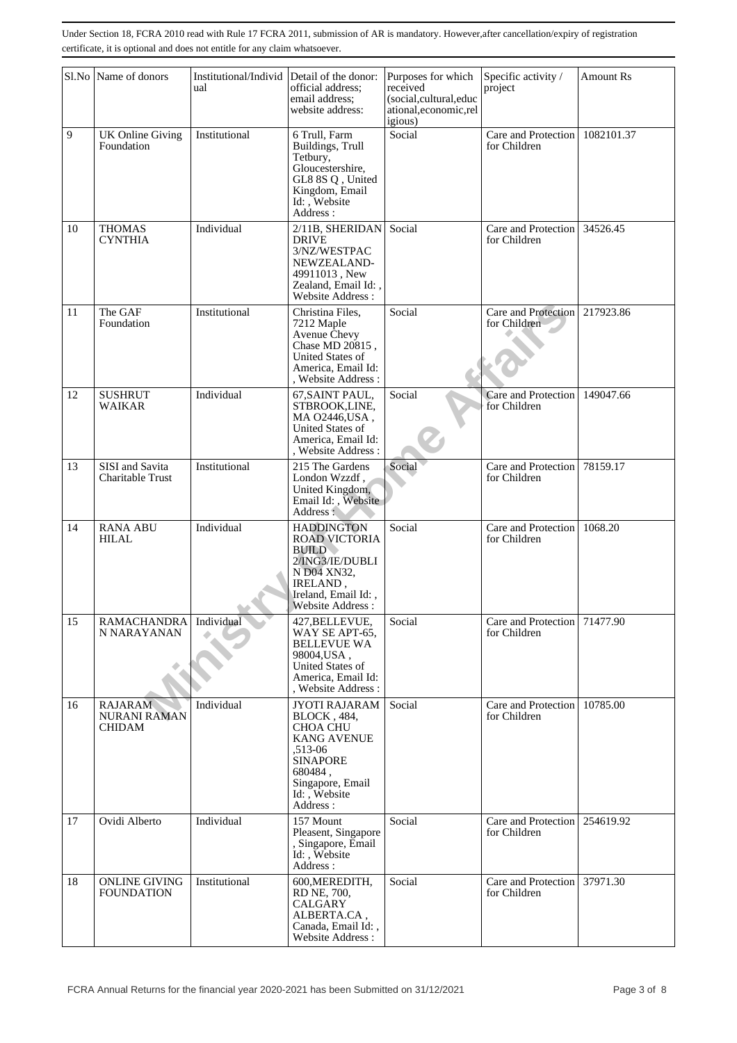|    | Sl.No Name of donors                                   | Institutional/Individ Detail of the donor:<br>ual | official address;<br>email address;<br>website address:                                                                                                                      | Purposes for which<br>received<br>(social,cultural,educ<br>ational, economic, rel<br>igious) | Specific activity /<br>project                 | <b>Amount Rs</b> |
|----|--------------------------------------------------------|---------------------------------------------------|------------------------------------------------------------------------------------------------------------------------------------------------------------------------------|----------------------------------------------------------------------------------------------|------------------------------------------------|------------------|
| 9  | <b>UK Online Giving</b><br>Foundation                  | Institutional                                     | 6 Trull. Farm<br>Buildings, Trull<br>Tetbury,<br>Gloucestershire,<br>GL8 8S Q, United<br>Kingdom, Email<br>Id: Website<br>Address:                                           | Social                                                                                       | Care and Protection<br>for Children            | 1082101.37       |
| 10 | <b>THOMAS</b><br><b>CYNTHIA</b>                        | Individual                                        | $2/11B$ , SHERIDAN<br><b>DRIVE</b><br>3/NZ/WESTPAC<br>NEWZEALAND-<br>49911013, New<br>Zealand, Email Id:,<br>Website Address:                                                | Social                                                                                       | Care and Protection 34526.45<br>for Children   |                  |
| 11 | The GAF<br>Foundation                                  | Institutional                                     | Christina Files,<br>7212 Maple<br>Avenue Chevy<br>Chase MD 20815,<br><b>United States of</b><br>America, Email Id:<br>, Website Address:                                     | Social                                                                                       | Care and Protection 217923.86<br>for Children  |                  |
| 12 | <b>SUSHRUT</b><br><b>WAIKAR</b>                        | Individual                                        | 67.SAINT PAUL.<br>STBROOK,LINE,<br>MA 02446, USA,<br>United States of<br>America, Email Id:<br>, Website Address:                                                            | Social                                                                                       | Care and Protection<br>for Children            | 149047.66        |
| 13 | SISI and Savita<br>Charitable Trust                    | Institutional                                     | 215 The Gardens<br>London Wzzdf,<br>United Kingdom,<br>Email Id:, Website<br>Address:                                                                                        | Social                                                                                       | Care and Protection<br>for Children            | 78159.17         |
| 14 | <b>RANA ABU</b><br><b>HILAL</b>                        | Individual                                        | <b>HADDINGTON</b><br><b>ROAD VICTORIA</b><br><b>BUILD</b><br>2/ING3/IE/DUBLI<br>N D04 XN32,<br>IRELAND,<br>Ireland, Email Id:,<br>Website Address:                           | Social                                                                                       | Care and Protection<br>for Children            | 1068.20          |
| 15 | RAMACHANDRA   Individual<br>N NARAYANAN                |                                                   | 427, BELLEVUE,<br>WAY SE APT-65,<br><b>BELLEVUE WA</b><br>98004, USA,<br>United States of<br>America, Email Id:<br>, Website Address :                                       | Social                                                                                       | Care and Protection   71477.90<br>for Children |                  |
| 16 | <b>RAJARAM</b><br><b>NURANI RAMAN</b><br><b>CHIDAM</b> | Individual                                        | <b>JYOTI RAJARAM</b><br><b>BLOCK</b> , 484,<br><b>CHOA CHU</b><br><b>KANG AVENUE</b><br>.513-06<br><b>SINAPORE</b><br>680484,<br>Singapore, Email<br>Id: Website<br>Address: | Social                                                                                       | Care and Protection   10785.00<br>for Children |                  |
| 17 | Ovidi Alberto                                          | Individual                                        | 157 Mount<br>Pleasent, Singapore<br>, Singapore, Email<br>Id:, Website<br>Address:                                                                                           | Social                                                                                       | Care and Protection<br>for Children            | 254619.92        |
| 18 | <b>ONLINE GIVING</b><br><b>FOUNDATION</b>              | Institutional                                     | 600, MEREDITH,<br>RD NE, 700,<br>CALGARY<br>ALBERTA.CA,<br>Canada, Email Id:,<br>Website Address:                                                                            | Social                                                                                       | Care and Protection<br>for Children            | 37971.30         |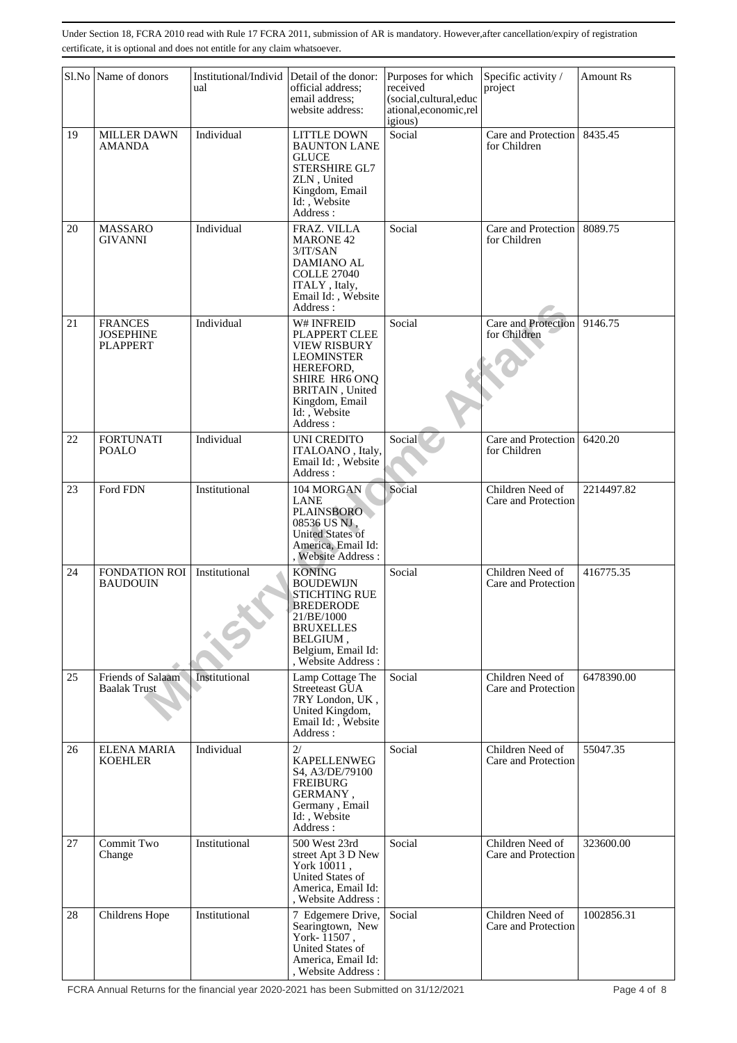|    | Sl.No Name of donors                                  | Institutional/Individ<br>ual | Detail of the donor:<br>official address;<br>email address:<br>website address:                                                                                                | Purposes for which<br>received<br>(social,cultural,educ<br>ational, economic, rel<br>igious) | Specific activity /<br>project              | <b>Amount Rs</b> |
|----|-------------------------------------------------------|------------------------------|--------------------------------------------------------------------------------------------------------------------------------------------------------------------------------|----------------------------------------------------------------------------------------------|---------------------------------------------|------------------|
| 19 | <b>MILLER DAWN</b><br>AMANDA                          | Individual                   | <b>LITTLE DOWN</b><br><b>BAUNTON LANE</b><br><b>GLUCE</b><br><b>STERSHIRE GL7</b><br>ZLN, United<br>Kingdom, Email<br>Id: Website<br>Address:                                  | Social                                                                                       | Care and Protection<br>for Children         | 8435.45          |
| 20 | MASSARO<br><b>GIVANNI</b>                             | Individual                   | FRAZ. VILLA<br><b>MARONE 42</b><br>3/IT/SAN<br><b>DAMIANO AL</b><br><b>COLLE 27040</b><br>ITALY, Italy,<br>Email Id:, Website<br>Address:                                      | Social                                                                                       | Care and Protection 8089.75<br>for Children |                  |
| 21 | <b>FRANCES</b><br><b>JOSEPHINE</b><br><b>PLAPPERT</b> | Individual                   | W# INFREID<br><b>PLAPPERT CLEE</b><br><b>VIEW RISBURY</b><br><b>LEOMINSTER</b><br>HEREFORD,<br>SHIRE HR6 ONQ<br>BRITAIN, United<br>Kingdom, Email<br>Id: , Website<br>Address: | Social                                                                                       | Care and Protection<br>for Children         | 9146.75          |
| 22 | <b>FORTUNATI</b><br><b>POALO</b>                      | Individual                   | UNI CREDITO<br>ITALOANO, Italy,<br>Email Id:, Website<br>Address:                                                                                                              | Social                                                                                       | Care and Protection<br>for Children         | 6420.20          |
| 23 | Ford FDN                                              | Institutional                | 104 MORGAN<br><b>LANE</b><br><b>PLAINSBORO</b><br>08536 US NJ,<br><b>United States of</b><br>America, Email Id:<br>, Website Address :                                         | Social                                                                                       | Children Need of<br>Care and Protection     | 2214497.82       |
| 24 | <b>FONDATION ROI</b><br><b>BAUDOUIN</b>               | Institutional                | <b>KONING</b><br><b>BOUDEWIJN</b><br>STICHTING RUE<br><b>BREDERODE</b><br>21/BE/1000<br><b>BRUXELLES</b><br>BELGIUM,<br>Belgium, Email Id:<br>, Website Address :              | Social                                                                                       | Children Need of<br>Care and Protection     | 416775.35        |
| 25 | <b>Friends of Salaam</b><br><b>Baalak Trust</b>       | Institutional                | Lamp Cottage The<br>Streeteast GUA<br>7RY London, UK,<br>United Kingdom,<br>Email Id:, Website<br>Address:                                                                     | Social                                                                                       | Children Need of<br>Care and Protection     | 6478390.00       |
| 26 | <b>ELENA MARIA</b><br><b>KOEHLER</b>                  | Individual                   | 2/<br><b>KAPELLENWEG</b><br>S4, A3/DE/79100<br><b>FREIBURG</b><br>GERMANY,<br>Germany, Email<br>Id:, Website<br>Address:                                                       | Social                                                                                       | Children Need of<br>Care and Protection     | 55047.35         |
| 27 | Commit Two<br>Change                                  | Institutional                | 500 West 23rd<br>street Apt 3 D New<br>York 10011,<br>United States of<br>America, Email Id:<br>, Website Address:                                                             | Social                                                                                       | Children Need of<br>Care and Protection     | 323600.00        |
| 28 | Childrens Hope                                        | Institutional                | 7 Edgemere Drive,<br>Searingtown, New<br>York-11507,<br>United States of<br>America, Email Id:<br>, Website Address :                                                          | Social                                                                                       | Children Need of<br>Care and Protection     | 1002856.31       |

FCRA Annual Returns for the financial year 2020-2021 has been Submitted on 31/12/2021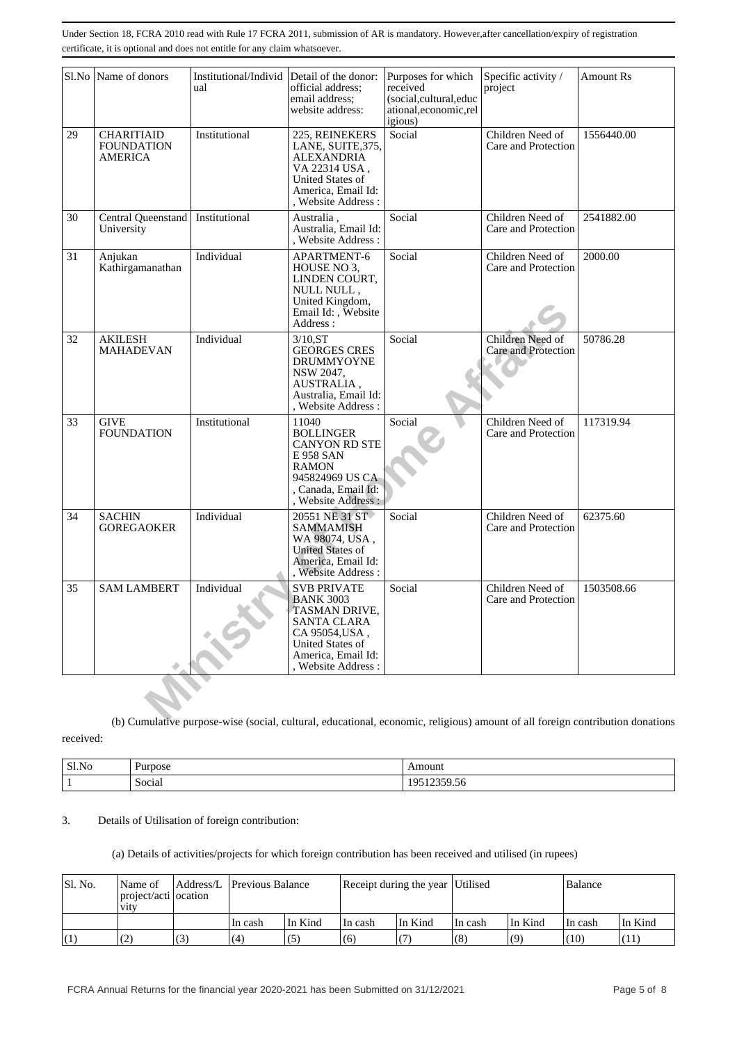| Sl.No | Name of donors                                           | Institutional/Individ<br>ual | Detail of the donor:<br>official address:<br>email address:<br>website address:                                                                                        | Purposes for which<br>received<br>(social,cultural,educ<br>ational,economic,rel<br>igious) | Specific activity /<br>project          | <b>Amount Rs</b> |
|-------|----------------------------------------------------------|------------------------------|------------------------------------------------------------------------------------------------------------------------------------------------------------------------|--------------------------------------------------------------------------------------------|-----------------------------------------|------------------|
| 29    | <b>CHARITIAID</b><br><b>FOUNDATION</b><br><b>AMERICA</b> | Institutional                | 225, REINEKERS<br>LANE, SUITE, 375,<br><b>ALEXANDRIA</b><br>VA 22314 USA.<br>United States of<br>America, Email Id:<br>. Website Address:                              | Social                                                                                     | Children Need of<br>Care and Protection | 1556440.00       |
| 30    | Central Queenstand<br>University                         | Institutional                | Australia.<br>Australia, Email Id:<br>, Website Address:                                                                                                               | Social                                                                                     | Children Need of<br>Care and Protection | 2541882.00       |
| 31    | Anjukan<br>Kathirgamanathan                              | Individual                   | APARTMENT-6<br>HOUSE NO 3,<br>LINDEN COURT,<br>NULL NULL,<br>United Kingdom,<br>Email Id:, Website<br>Address:                                                         | Social                                                                                     | Children Need of<br>Care and Protection | 2000.00          |
| 32    | <b>AKILESH</b><br><b>MAHADEVAN</b>                       | Individual                   | 3/10,ST<br><b>GEORGES CRES</b><br><b>DRUMMYOYNE</b><br>NSW 2047,<br>AUSTRALIA,<br>Australia, Email Id:<br>, Website Address:                                           | Social                                                                                     | Children Need of<br>Care and Protection | 50786.28         |
| 33    | <b>GIVE</b><br><b>FOUNDATION</b>                         | Institutional                | 11040<br><b>BOLLINGER</b><br><b>CANYON RD STE</b><br>E 958 SAN<br><b>RAMON</b><br>945824969 US CA<br>, Canada, Email Id:<br>, Website Address :                        | Social                                                                                     | Children Need of<br>Care and Protection | 117319.94        |
| 34    | <b>SACHIN</b><br><b>GOREGAOKER</b>                       | Individual                   | 20551 NE 31 ST<br><b>SAMMAMISH</b><br>WA 98074, USA,<br><b>United States of</b><br>America, Email Id:<br>, Website Address :                                           | Social                                                                                     | Children Need of<br>Care and Protection | 62375.60         |
| 35    | <b>SAM LAMBERT</b>                                       | Individual                   | <b>SVB PRIVATE</b><br><b>BANK 3003</b><br><b>TASMAN DRIVE,</b><br><b>SANTA CLARA</b><br>CA 95054, USA,<br>United States of<br>America, Email Id:<br>. Website Address: | Social                                                                                     | Children Need of<br>Care and Protection | 1503508.66       |
|       |                                                          |                              |                                                                                                                                                                        |                                                                                            |                                         |                  |

(b) Cumulative purpose-wise (social, cultural, educational, economic, religious) amount of all foreign contribution donations

received:

| 01 <sub>1</sub><br>SI.NO | $\mathbf{\bar{}}$<br><b>Uurnosa</b> | 22222222<br>וחוונ                       |
|--------------------------|-------------------------------------|-----------------------------------------|
|                          | .<br>Social                         | $\sim$<br>.<br>$\overline{\phantom{a}}$ |

### 3. Details of Utilisation of foreign contribution:

#### (a) Details of activities/projects for which foreign contribution has been received and utilised (in rupees)

| Sl. No. | <b>Name of</b><br>project/acti ocation<br><b>V1tV</b> | Address/L Previous Balance |         |         | Receipt during the year Utilised |          |         | Balance |         |
|---------|-------------------------------------------------------|----------------------------|---------|---------|----------------------------------|----------|---------|---------|---------|
|         |                                                       | In cash                    | In Kind | In cash | In Kind                          | ∣In cash | In Kind | In cash | In Kind |
| (1)     |                                                       | (4)                        |         | (6)     |                                  | (8)      | (9)     | (10)    | [(11)   |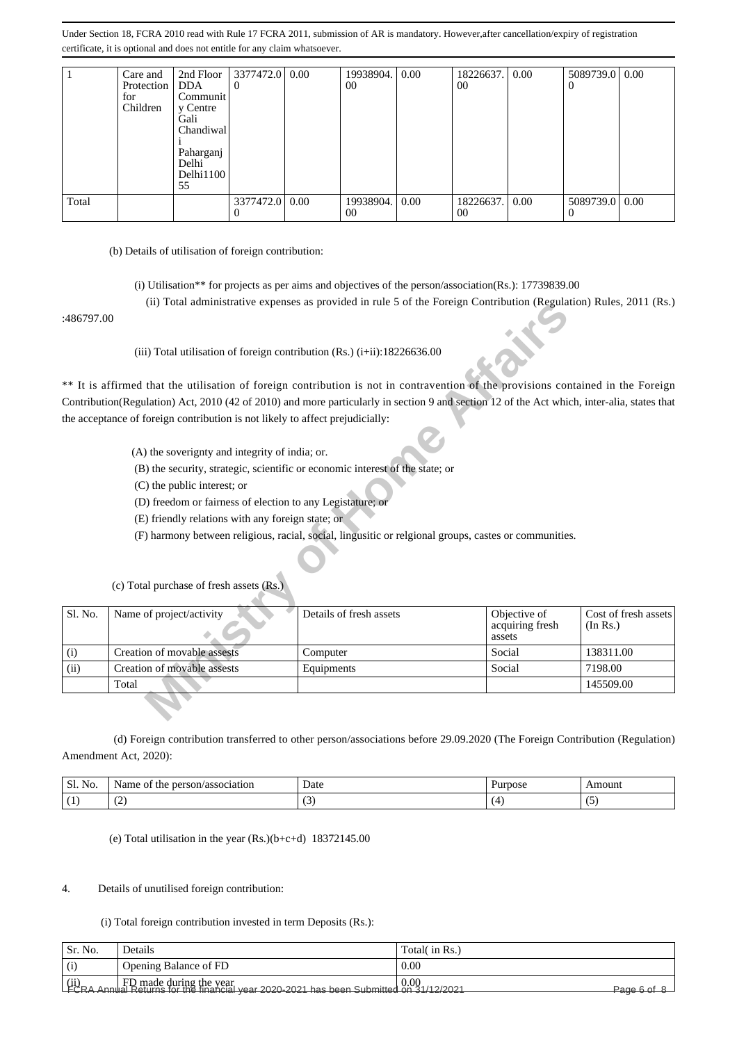| 2nd Floor<br>3377472.0<br>0.00<br>19938904.<br>0.00<br>18226637.<br>0.00<br>5089739.0<br>0.00<br>1<br>Care and<br>Protection<br><b>DDA</b><br>00<br>00<br>0<br>for<br>Communit<br>Children<br>y Centre<br>Gali<br>Chandiwal<br>Paharganj<br>Delhi<br>Delhi1100<br>55<br>3377472.0<br>19938904.<br>5089739.0<br>0.00<br>0.00<br>18226637.<br>0.00<br>0.00<br>Total<br>00<br>0<br>00<br>0<br>(b) Details of utilisation of foreign contribution:<br>(i) Utilisation** for projects as per aims and objectives of the person/association(Rs.): 17739839.00<br>(ii) Total administrative expenses as provided in rule 5 of the Foreign Contribution (Regulation) Rules, 2011 (Rs.)<br>:486797.00<br>(iii) Total utilisation of foreign contribution (Rs.) (i+ii):18226636.00<br>** It is affirmed that the utilisation of foreign contribution is not in contravention of the provisions contained in the Foreign<br>Contribution(Regulation) Act, 2010 (42 of 2010) and more particularly in section 9 and section 12 of the Act which, inter-alia, states that<br>the acceptance of foreign contribution is not likely to affect prejudicially:<br>(A) the soverignty and integrity of india; or.<br>(B) the security, strategic, scientific or economic interest of the state; or<br>(C) the public interest; or<br>(D) freedom or fairness of election to any Legistature; or<br>(E) friendly relations with any foreign state; or<br>(F) harmony between religious, racial, social, lingusitic or relgional groups, castes or communities.<br>(c) Total purchase of fresh assets (Rs.)<br>Sl. No.<br>Name of project/activity<br>Details of fresh assets<br>Objective of<br>Cost of fresh assets<br>acquiring fresh<br>(In Rs.)<br>assets<br>138311.00<br>(i)<br>Creation of movable assests<br>Social<br>Computer<br>Creation of movable assests<br>(ii)<br>Social<br>7198.00<br>Equipments<br>145509.00<br>Total<br>(d) Foreign contribution transferred to other person/associations before 29.09.2020 (The Foreign Contribution (Regulation)<br>Amendment Act, 2020):<br>Sl. No.<br>Name of the person/association<br>Date<br>Purpose<br>Amount<br>(1)<br>(2)<br>(3)<br>(4)<br>(5)<br>(e) Total utilisation in the year $(Rs.(b+c+d) 18372145.00)$<br>Details of unutilised foreign contribution:<br>4. |  |  |  |  |  |  |
|--------------------------------------------------------------------------------------------------------------------------------------------------------------------------------------------------------------------------------------------------------------------------------------------------------------------------------------------------------------------------------------------------------------------------------------------------------------------------------------------------------------------------------------------------------------------------------------------------------------------------------------------------------------------------------------------------------------------------------------------------------------------------------------------------------------------------------------------------------------------------------------------------------------------------------------------------------------------------------------------------------------------------------------------------------------------------------------------------------------------------------------------------------------------------------------------------------------------------------------------------------------------------------------------------------------------------------------------------------------------------------------------------------------------------------------------------------------------------------------------------------------------------------------------------------------------------------------------------------------------------------------------------------------------------------------------------------------------------------------------------------------------------------------------------------------------------------------------------------------------------------------------------------------------------------------------------------------------------------------------------------------------------------------------------------------------------------------------------------------------------------------------------------------------------------------------------------------------------------------------------------------------------------------------------------------|--|--|--|--|--|--|
|                                                                                                                                                                                                                                                                                                                                                                                                                                                                                                                                                                                                                                                                                                                                                                                                                                                                                                                                                                                                                                                                                                                                                                                                                                                                                                                                                                                                                                                                                                                                                                                                                                                                                                                                                                                                                                                                                                                                                                                                                                                                                                                                                                                                                                                                                                              |  |  |  |  |  |  |
|                                                                                                                                                                                                                                                                                                                                                                                                                                                                                                                                                                                                                                                                                                                                                                                                                                                                                                                                                                                                                                                                                                                                                                                                                                                                                                                                                                                                                                                                                                                                                                                                                                                                                                                                                                                                                                                                                                                                                                                                                                                                                                                                                                                                                                                                                                              |  |  |  |  |  |  |
|                                                                                                                                                                                                                                                                                                                                                                                                                                                                                                                                                                                                                                                                                                                                                                                                                                                                                                                                                                                                                                                                                                                                                                                                                                                                                                                                                                                                                                                                                                                                                                                                                                                                                                                                                                                                                                                                                                                                                                                                                                                                                                                                                                                                                                                                                                              |  |  |  |  |  |  |
|                                                                                                                                                                                                                                                                                                                                                                                                                                                                                                                                                                                                                                                                                                                                                                                                                                                                                                                                                                                                                                                                                                                                                                                                                                                                                                                                                                                                                                                                                                                                                                                                                                                                                                                                                                                                                                                                                                                                                                                                                                                                                                                                                                                                                                                                                                              |  |  |  |  |  |  |
|                                                                                                                                                                                                                                                                                                                                                                                                                                                                                                                                                                                                                                                                                                                                                                                                                                                                                                                                                                                                                                                                                                                                                                                                                                                                                                                                                                                                                                                                                                                                                                                                                                                                                                                                                                                                                                                                                                                                                                                                                                                                                                                                                                                                                                                                                                              |  |  |  |  |  |  |
|                                                                                                                                                                                                                                                                                                                                                                                                                                                                                                                                                                                                                                                                                                                                                                                                                                                                                                                                                                                                                                                                                                                                                                                                                                                                                                                                                                                                                                                                                                                                                                                                                                                                                                                                                                                                                                                                                                                                                                                                                                                                                                                                                                                                                                                                                                              |  |  |  |  |  |  |
|                                                                                                                                                                                                                                                                                                                                                                                                                                                                                                                                                                                                                                                                                                                                                                                                                                                                                                                                                                                                                                                                                                                                                                                                                                                                                                                                                                                                                                                                                                                                                                                                                                                                                                                                                                                                                                                                                                                                                                                                                                                                                                                                                                                                                                                                                                              |  |  |  |  |  |  |
|                                                                                                                                                                                                                                                                                                                                                                                                                                                                                                                                                                                                                                                                                                                                                                                                                                                                                                                                                                                                                                                                                                                                                                                                                                                                                                                                                                                                                                                                                                                                                                                                                                                                                                                                                                                                                                                                                                                                                                                                                                                                                                                                                                                                                                                                                                              |  |  |  |  |  |  |
|                                                                                                                                                                                                                                                                                                                                                                                                                                                                                                                                                                                                                                                                                                                                                                                                                                                                                                                                                                                                                                                                                                                                                                                                                                                                                                                                                                                                                                                                                                                                                                                                                                                                                                                                                                                                                                                                                                                                                                                                                                                                                                                                                                                                                                                                                                              |  |  |  |  |  |  |
|                                                                                                                                                                                                                                                                                                                                                                                                                                                                                                                                                                                                                                                                                                                                                                                                                                                                                                                                                                                                                                                                                                                                                                                                                                                                                                                                                                                                                                                                                                                                                                                                                                                                                                                                                                                                                                                                                                                                                                                                                                                                                                                                                                                                                                                                                                              |  |  |  |  |  |  |
|                                                                                                                                                                                                                                                                                                                                                                                                                                                                                                                                                                                                                                                                                                                                                                                                                                                                                                                                                                                                                                                                                                                                                                                                                                                                                                                                                                                                                                                                                                                                                                                                                                                                                                                                                                                                                                                                                                                                                                                                                                                                                                                                                                                                                                                                                                              |  |  |  |  |  |  |
| (i) Total foreign contribution invested in term Deposits (Rs.):                                                                                                                                                                                                                                                                                                                                                                                                                                                                                                                                                                                                                                                                                                                                                                                                                                                                                                                                                                                                                                                                                                                                                                                                                                                                                                                                                                                                                                                                                                                                                                                                                                                                                                                                                                                                                                                                                                                                                                                                                                                                                                                                                                                                                                              |  |  |  |  |  |  |

- (i) Utilisation\*\* for projects as per aims and objectives of the person/association(Rs.): 17739839.00
	- (ii) Total administrative expenses as provided in rule 5 of the Foreign Contribution (Regulation) Rules, 2011 (Rs.)

- (A) the soverignty and integrity of india; or.
- (B) the security, strategic, scientific or economic interest of the state; or
- (C) the public interest; or
- (D) freedom or fairness of election to any Legistature; or
- (E) friendly relations with any foreign state; or
- (F) harmony between religious, racial, social, lingusitic or relgional groups, castes or communities.

|            |                                                                                                                                             | (ii) Total administrative expenses as provided in rule 5 of the Foreign Contribution (Regulation) Rules, 2011 (RS.) |                                           |                                  |
|------------|---------------------------------------------------------------------------------------------------------------------------------------------|---------------------------------------------------------------------------------------------------------------------|-------------------------------------------|----------------------------------|
| :486797.00 |                                                                                                                                             |                                                                                                                     |                                           |                                  |
|            | (iii) Total utilisation of foreign contribution $(Rs.)$ (i+ii):18226636.00                                                                  |                                                                                                                     |                                           |                                  |
|            | ** It is affirmed that the utilisation of foreign contribution is not in contravention of the provisions contained in the Foreign           |                                                                                                                     |                                           |                                  |
|            | Contribution(Regulation) Act, 2010 (42 of 2010) and more particularly in section 9 and section 12 of the Act which, inter-alia, states that |                                                                                                                     |                                           |                                  |
|            | the acceptance of foreign contribution is not likely to affect prejudicially:                                                               |                                                                                                                     |                                           |                                  |
|            |                                                                                                                                             |                                                                                                                     |                                           |                                  |
|            | (A) the soverignty and integrity of india; or.                                                                                              |                                                                                                                     |                                           |                                  |
|            |                                                                                                                                             | (B) the security, strategic, scientific or economic interest of the state; or                                       |                                           |                                  |
|            | (C) the public interest; or                                                                                                                 |                                                                                                                     |                                           |                                  |
|            |                                                                                                                                             |                                                                                                                     |                                           |                                  |
|            | (D) freedom or fairness of election to any Legistature; or                                                                                  |                                                                                                                     |                                           |                                  |
|            | (E) friendly relations with any foreign state; or                                                                                           |                                                                                                                     |                                           |                                  |
|            |                                                                                                                                             | (F) harmony between religious, racial, social, lingusitic or relgional groups, castes or communities.               |                                           |                                  |
|            |                                                                                                                                             |                                                                                                                     |                                           |                                  |
|            | (c) Total purchase of fresh assets (Rs.)                                                                                                    |                                                                                                                     |                                           |                                  |
| Sl. No.    | Name of project/activity                                                                                                                    | Details of fresh assets                                                                                             | Objective of<br>acquiring fresh<br>assets | Cost of fresh assets<br>(In Rs.) |
| (i)        | Creation of movable assests                                                                                                                 | Computer                                                                                                            | Social                                    | 138311.00                        |
| (ii)       | Creation of movable assests                                                                                                                 | Equipments                                                                                                          | Social                                    | 7198.00                          |
|            | Total                                                                                                                                       |                                                                                                                     |                                           | 145509.00                        |
|            |                                                                                                                                             |                                                                                                                     |                                           |                                  |

(c) Total purchase of fresh assets (Rs.)

| No.<br>ЭI. | Nam<br>ΟĪ<br>ssociation<br>person.<br>19c<br>tne | Date<br>. | .<br>3222<br>אטרי | moun |
|------------|--------------------------------------------------|-----------|-------------------|------|
|            | $\sim$                                           |           | 4                 |      |

#### 4. Details of unutilised foreign contribution:

| Sr. No. | Details                                                                                              | Total( in Rs.)                                 |
|---------|------------------------------------------------------------------------------------------------------|------------------------------------------------|
| (i)     | Opening Balance of FD                                                                                | 0.00                                           |
|         | <del>. TONA Amikiai Kolums ivi lino mianulai yoai 2020°2021 nas boon Jubinillou vii 31/12/2021</del> | $P_{200}$ $R_{01}$ $R$<br><del>ayo u u u</del> |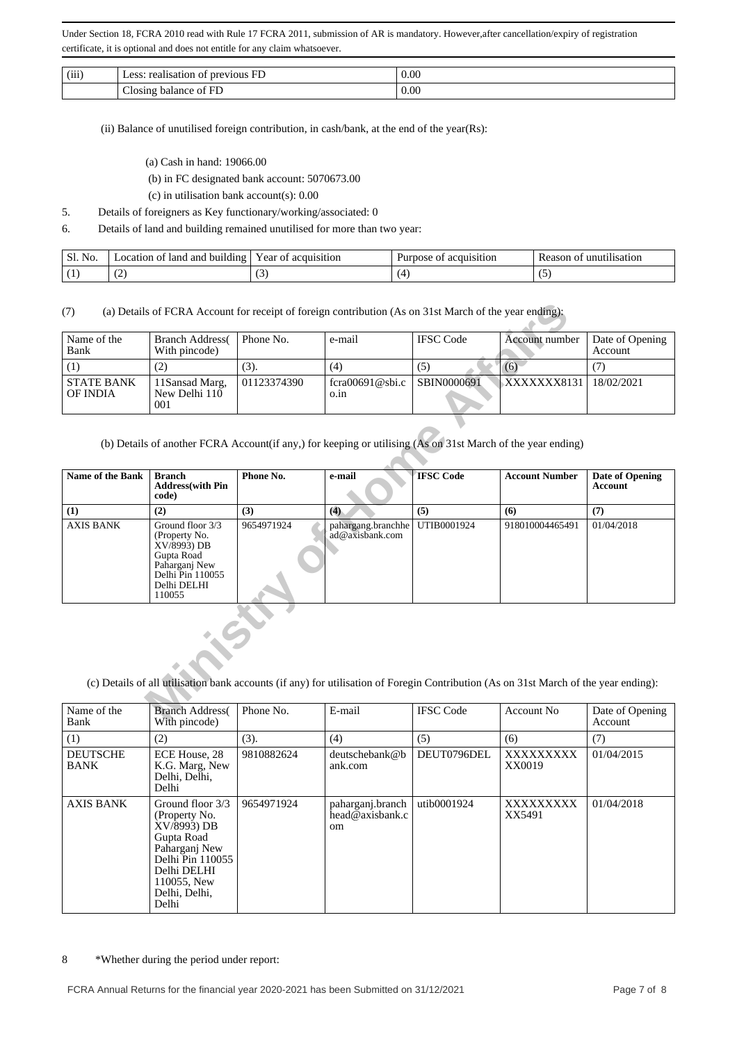| (iii) | $\blacksquare$<br>realisation<br>FL.<br>ess.<br>previous | 0.00 |
|-------|----------------------------------------------------------|------|
|       | Closing<br>balance<br>of FL                              | 0.00 |

(ii) Balance of unutilised foreign contribution, in cash/bank, at the end of the year(Rs):

- (a) Cash in hand: 19066.00
- (b) in FC designated bank account: 5070673.00
- (c) in utilisation bank account(s): 0.00
- 5. Details of foreigners as Key functionary/working/associated: 0
- 6. Details of land and building remained unutilised for more than two year:

| -SI.<br>No. | i of land and building<br>ocation | Year of acquisition                | acquisition<br>Purnose of | unutilisation<br>'eason<br>ΩT |
|-------------|-----------------------------------|------------------------------------|---------------------------|-------------------------------|
|             | $\overline{\phantom{a}}$          | $\overline{\phantom{a}}$<br>$\sim$ |                           |                               |

| Name of the<br>Bank           | <b>Branch Address</b><br>With pincode) | Phone No.   | e-mail                                      | <b>IFSC Code</b> | Account number | Date of Opening<br>Account |
|-------------------------------|----------------------------------------|-------------|---------------------------------------------|------------------|----------------|----------------------------|
|                               | ,2)                                    | (3).        | (4)                                         | (5)              | (6)            |                            |
| <b>STATE BANK</b><br>OF INDIA | 11Sansad Marg,<br>New Delhi 110<br>001 | 01123374390 | $f_{cra}00691@$ sbi.c   SBIN0000691<br>0.1n |                  | XXXXXXX8131    | 18/02/2021                 |

(b) Details of another FCRA Account(if any,) for keeping or utilising (As on 31st March of the year ending)

| (7)                                                                                                                                  |                                                                                                                              |             | (a) Details of FCRA Account for receipt of foreign contribution (As on 31st March of the year ending): |                  |                       |                                   |
|--------------------------------------------------------------------------------------------------------------------------------------|------------------------------------------------------------------------------------------------------------------------------|-------------|--------------------------------------------------------------------------------------------------------|------------------|-----------------------|-----------------------------------|
| Name of the<br>Bank                                                                                                                  | <b>Branch Address</b><br>With pincode)                                                                                       | Phone No.   | e-mail                                                                                                 | <b>IFSC</b> Code | Account number        | Date of Opening<br>Account        |
| (1)                                                                                                                                  | (2)                                                                                                                          | (3).        | (4)                                                                                                    | (5)              | (6)                   | (7)                               |
| <b>STATE BANK</b><br><b>OF INDIA</b>                                                                                                 | 11Sansad Marg,<br>New Delhi 110<br>001                                                                                       | 01123374390 | $f_{\text{C}ra}00691@$ sbi.c<br>o.in                                                                   | SBIN0000691      | XXXXXXX8131           | 18/02/2021                        |
|                                                                                                                                      | (b) Details of another FCRA Account (if any,) for keeping or utilising (As on 31st March of the year ending)                 |             |                                                                                                        |                  |                       |                                   |
| Name of the Bank                                                                                                                     | <b>Branch</b><br><b>Address</b> (with Pin<br>code)                                                                           | Phone No.   | e-mail                                                                                                 | <b>IFSC Code</b> | <b>Account Number</b> | Date of Opening<br><b>Account</b> |
| (1)                                                                                                                                  | (2)                                                                                                                          | (3)         | (4)                                                                                                    | (5)              | (6)                   | (7)                               |
| <b>AXIS BANK</b>                                                                                                                     | Ground floor 3/3<br>(Property No.<br>XV/8993) DB<br>Gupta Road<br>Paharganj New<br>Delhi Pin 110055<br>Delhi DELHI<br>110055 | 9654971924  | pahargang.branchhe<br>ad@axisbank.com                                                                  | UTIB0001924      | 918010004465491       | 01/04/2018                        |
| (c) Details of all utilisation bank accounts (if any) for utilisation of Foregin Contribution (As on 31st March of the year ending): |                                                                                                                              |             |                                                                                                        |                  |                       |                                   |
| Name of the<br>$D = 1$                                                                                                               | <b>Branch Address</b><br>$WCDA = 1.1224$                                                                                     | Phone No.   | E-mail                                                                                                 | <b>IFSC</b> Code | Account No            | Date of Opening                   |

| Name of the<br>Bank            | <b>Branch Address</b><br>With pincode)                                                                                                                      | Phone No.  | E-mail                                    | <b>IFSC</b> Code | Account No.         | Date of Opening<br>Account |
|--------------------------------|-------------------------------------------------------------------------------------------------------------------------------------------------------------|------------|-------------------------------------------|------------------|---------------------|----------------------------|
| (1)                            | (2)                                                                                                                                                         | (3).       | (4)                                       | (5)              | (6)                 | (7)                        |
| <b>DEUTSCHE</b><br><b>BANK</b> | ECE House, 28<br>K.G. Marg, New<br>Delhi, Delhi,<br>Delhi                                                                                                   | 9810882624 | deutschebank@b<br>ank.com                 | DEUT0796DEL      | XXXXXXXXX<br>XX0019 | 01/04/2015                 |
| <b>AXIS BANK</b>               | Ground floor 3/3<br>(Property No.<br>XV/8993) DB<br>Gupta Road<br>Paharganj New<br>Delhi Pin 110055<br>Delhi DELHI<br>110055, New<br>Delhi, Delhi,<br>Delhi | 9654971924 | paharganj.branch<br>head@axisbank.c<br>om | utib0001924      | XXXXXXXXX<br>XX5491 | 01/04/2018                 |

8 \*Whether during the period under report: